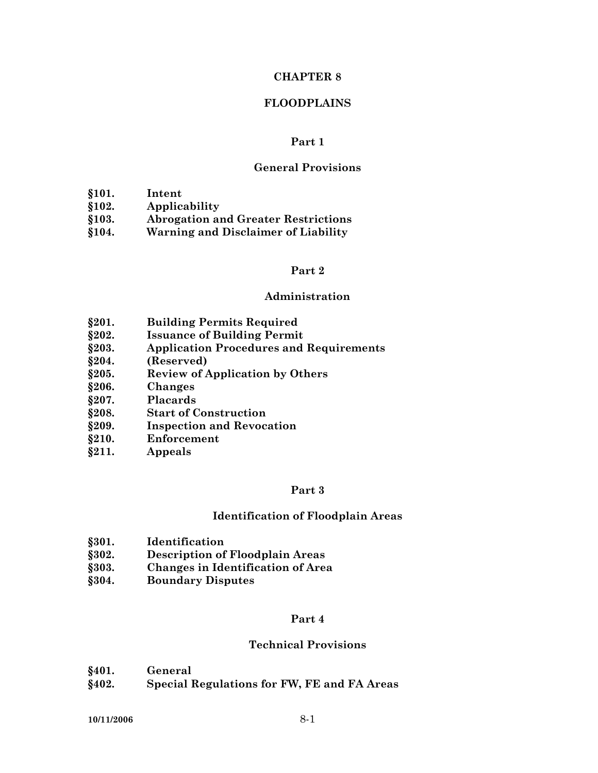### **CHAPTER 8**

#### **FLOODPLAINS**

#### **Part 1**

#### **General Provisions**

- **§101. Intent**
- **§102. Applicability**
- **§103. Abrogation and Greater Restrictions**
- **§104. Warning and Disclaimer of Liability**

#### **Part 2**

#### **Administration**

- **§201. Building Permits Required**
- **§202. Issuance of Building Permit**
- **§203. Application Procedures and Requirements**
- **§204. (Reserved)**
- **§205. Review of Application by Others**
- **§206. Changes**
- **§207. Placards**
- **§208. Start of Construction**
- **§209. Inspection and Revocation**
- **§210. Enforcement**
- **§211. Appeals**

#### **Part 3**

#### **Identification of Floodplain Areas**

- **§301. Identification**
- **§302. Description of Floodplain Areas**
- **§303. Changes in Identification of Area**
- **§304. Boundary Disputes**

#### **Part 4**

#### **Technical Provisions**

- **§401. General**
- **§402. Special Regulations for FW, FE and FA Areas**

**10/11/2006** 8-1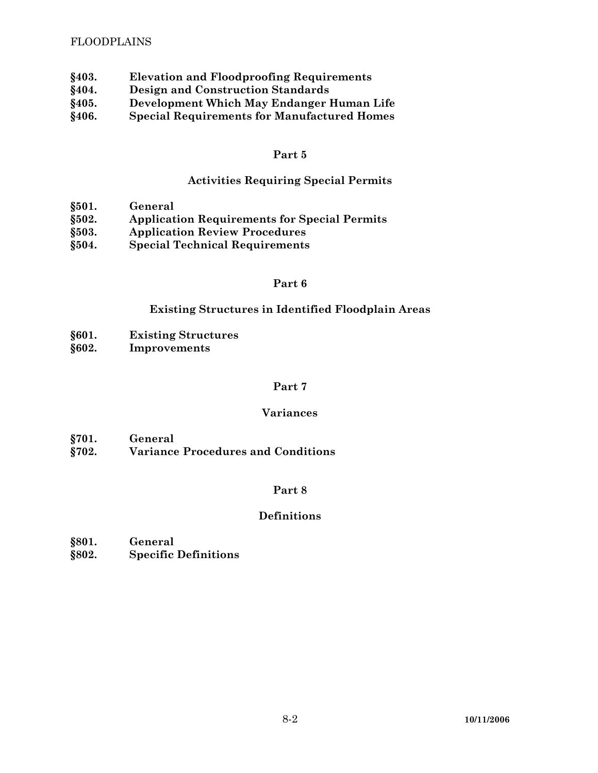- **§403. Elevation and Floodproofing Requirements**
- **§404. Design and Construction Standards**
- **§405. Development Which May Endanger Human Life**
- **§406. Special Requirements for Manufactured Homes**

# **Activities Requiring Special Permits**

- **§501. General**
- **§502. Application Requirements for Special Permits**
- **§503. Application Review Procedures**
- **§504. Special Technical Requirements**

### **Part 6**

# **Existing Structures in Identified Floodplain Areas**

- **§601. Existing Structures**
- **§602. Improvements**

### **Part 7**

#### **Variances**

- **§701. General**
- **§702. Variance Procedures and Conditions**

# **Part 8**

# **Definitions**

- **§801. General**
- **§802. Specific Definitions**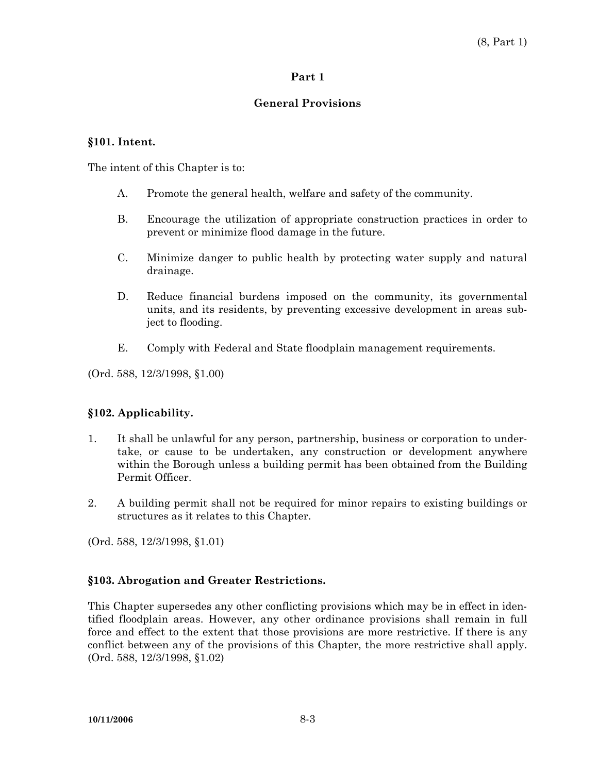# **General Provisions**

# **§101. Intent.**

The intent of this Chapter is to:

- A. Promote the general health, welfare and safety of the community.
- B. Encourage the utilization of appropriate construction practices in order to prevent or minimize flood damage in the future.
- C. Minimize danger to public health by protecting water supply and natural drainage.
- D. Reduce financial burdens imposed on the community, its governmental units, and its residents, by preventing excessive development in areas subject to flooding.
- E. Comply with Federal and State floodplain management requirements.

(Ord. 588, 12/3/1998, §1.00)

# **§102. Applicability.**

- 1. It shall be unlawful for any person, partnership, business or corporation to undertake, or cause to be undertaken, any construction or development anywhere within the Borough unless a building permit has been obtained from the Building Permit Officer.
- 2. A building permit shall not be required for minor repairs to existing buildings or structures as it relates to this Chapter.

(Ord. 588, 12/3/1998, §1.01)

# **§103. Abrogation and Greater Restrictions.**

This Chapter supersedes any other conflicting provisions which may be in effect in identified floodplain areas. However, any other ordinance provisions shall remain in full force and effect to the extent that those provisions are more restrictive. If there is any conflict between any of the provisions of this Chapter, the more restrictive shall apply. (Ord. 588, 12/3/1998, §1.02)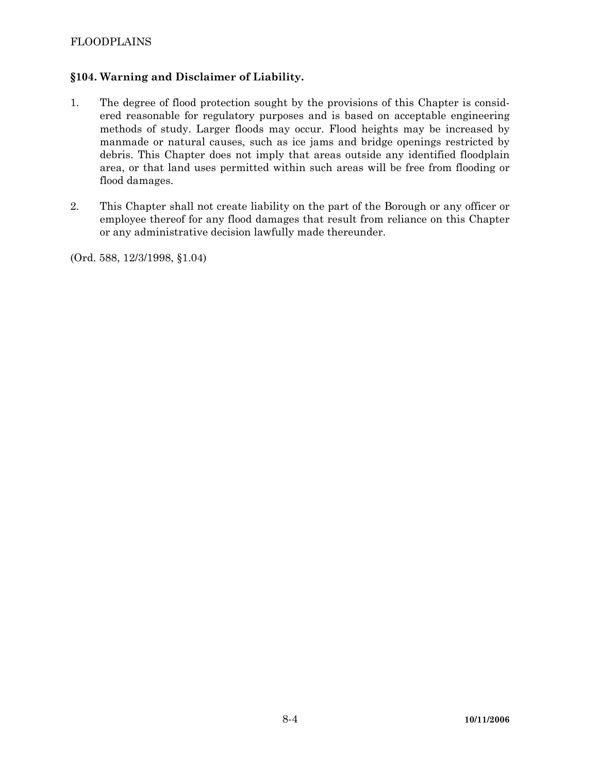# FLOODPLAINS

# **§104. Warning and Disclaimer of Liability.**

- 1. The degree of flood protection sought by the provisions of this Chapter is considered reasonable for regulatory purposes and is based on acceptable engineering methods of study. Larger floods may occur. Flood heights may be increased by manmade or natural causes, such as ice jams and bridge openings restricted by debris. This Chapter does not imply that areas outside any identified floodplain area, or that land uses permitted within such areas will be free from flooding or flood damages.
- 2. This Chapter shall not create liability on the part of the Borough or any officer or employee thereof for any flood damages that result from reliance on this Chapter or any administrative decision lawfully made thereunder.

(Ord. 588, 12/3/1998, §1.04)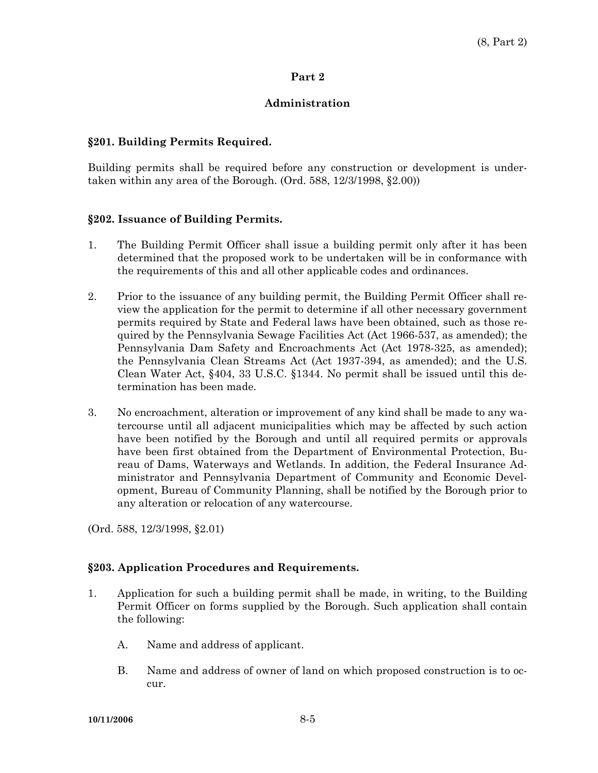### **Administration**

### **§201. Building Permits Required.**

Building permits shall be required before any construction or development is undertaken within any area of the Borough. (Ord. 588, 12/3/1998, §2.00))

#### **§202. Issuance of Building Permits.**

- 1. The Building Permit Officer shall issue a building permit only after it has been determined that the proposed work to be undertaken will be in conformance with the requirements of this and all other applicable codes and ordinances.
- 2. Prior to the issuance of any building permit, the Building Permit Officer shall review the application for the permit to determine if all other necessary government permits required by State and Federal laws have been obtained, such as those required by the Pennsylvania Sewage Facilities Act (Act 1966-537, as amended); the Pennsylvania Dam Safety and Encroachments Act (Act 1978-325, as amended); the Pennsylvania Clean Streams Act (Act 1937-394, as amended); and the U.S. Clean Water Act, §404, 33 U.S.C. §1344. No permit shall be issued until this determination has been made.
- 3. No encroachment, alteration or improvement of any kind shall be made to any watercourse until all adjacent municipalities which may be affected by such action have been notified by the Borough and until all required permits or approvals have been first obtained from the Department of Environmental Protection, Bureau of Dams, Waterways and Wetlands. In addition, the Federal Insurance Administrator and Pennsylvania Department of Community and Economic Development, Bureau of Community Planning, shall be notified by the Borough prior to any alteration or relocation of any watercourse.
- (Ord. 588, 12/3/1998, §2.01)

#### **§203. Application Procedures and Requirements.**

- 1. Application for such a building permit shall be made, in writing, to the Building Permit Officer on forms supplied by the Borough. Such application shall contain the following:
	- A. Name and address of applicant.
	- B. Name and address of owner of land on which proposed construction is to occur.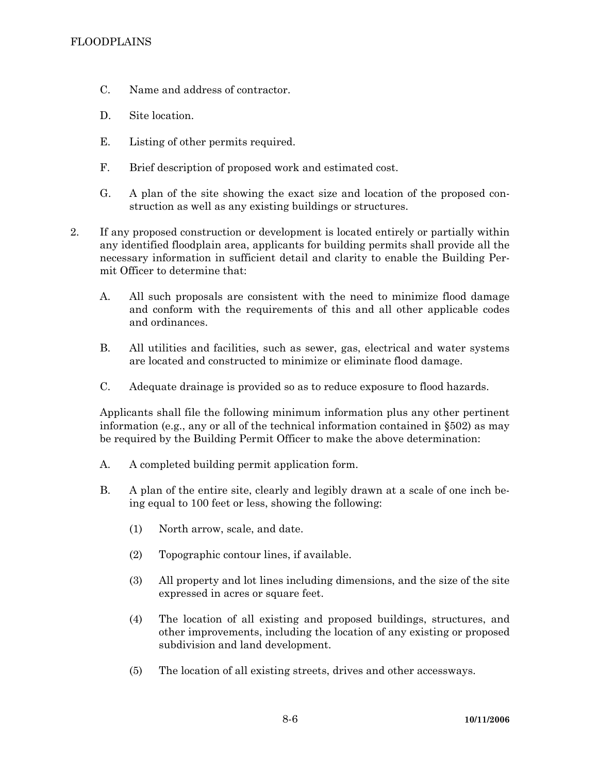- C. Name and address of contractor.
- D. Site location.
- E. Listing of other permits required.
- F. Brief description of proposed work and estimated cost.
- G. A plan of the site showing the exact size and location of the proposed construction as well as any existing buildings or structures.
- 2. If any proposed construction or development is located entirely or partially within any identified floodplain area, applicants for building permits shall provide all the necessary information in sufficient detail and clarity to enable the Building Permit Officer to determine that:
	- A. All such proposals are consistent with the need to minimize flood damage and conform with the requirements of this and all other applicable codes and ordinances.
	- B. All utilities and facilities, such as sewer, gas, electrical and water systems are located and constructed to minimize or eliminate flood damage.
	- C. Adequate drainage is provided so as to reduce exposure to flood hazards.

 Applicants shall file the following minimum information plus any other pertinent information (e.g., any or all of the technical information contained in §502) as may be required by the Building Permit Officer to make the above determination:

- A. A completed building permit application form.
- B. A plan of the entire site, clearly and legibly drawn at a scale of one inch being equal to 100 feet or less, showing the following:
	- (1) North arrow, scale, and date.
	- (2) Topographic contour lines, if available.
	- (3) All property and lot lines including dimensions, and the size of the site expressed in acres or square feet.
	- (4) The location of all existing and proposed buildings, structures, and other improvements, including the location of any existing or proposed subdivision and land development.
	- (5) The location of all existing streets, drives and other accessways.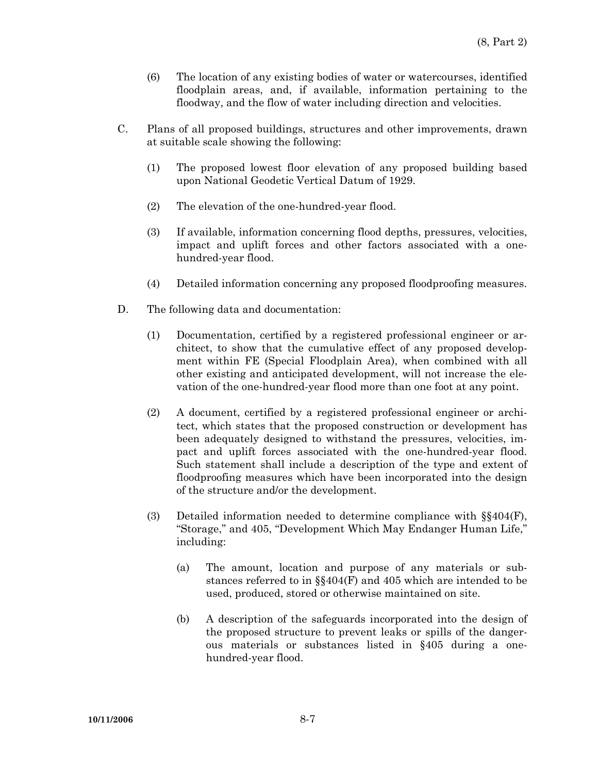- (6) The location of any existing bodies of water or watercourses, identified floodplain areas, and, if available, information pertaining to the floodway, and the flow of water including direction and velocities.
- C. Plans of all proposed buildings, structures and other improvements, drawn at suitable scale showing the following:
	- (1) The proposed lowest floor elevation of any proposed building based upon National Geodetic Vertical Datum of 1929.
	- (2) The elevation of the one-hundred-year flood.
	- (3) If available, information concerning flood depths, pressures, velocities, impact and uplift forces and other factors associated with a onehundred-year flood.
	- (4) Detailed information concerning any proposed floodproofing measures.
- D. The following data and documentation:
	- (1) Documentation, certified by a registered professional engineer or architect, to show that the cumulative effect of any proposed development within FE (Special Floodplain Area), when combined with all other existing and anticipated development, will not increase the elevation of the one-hundred-year flood more than one foot at any point.
	- (2) A document, certified by a registered professional engineer or architect, which states that the proposed construction or development has been adequately designed to withstand the pressures, velocities, impact and uplift forces associated with the one-hundred-year flood. Such statement shall include a description of the type and extent of floodproofing measures which have been incorporated into the design of the structure and/or the development.
	- (3) Detailed information needed to determine compliance with  $\S 404(F)$ , "Storage," and 405, "Development Which May Endanger Human Life," including:
		- (a) The amount, location and purpose of any materials or substances referred to in §§404(F) and 405 which are intended to be used, produced, stored or otherwise maintained on site.
		- (b) A description of the safeguards incorporated into the design of the proposed structure to prevent leaks or spills of the dangerous materials or substances listed in §405 during a onehundred-year flood.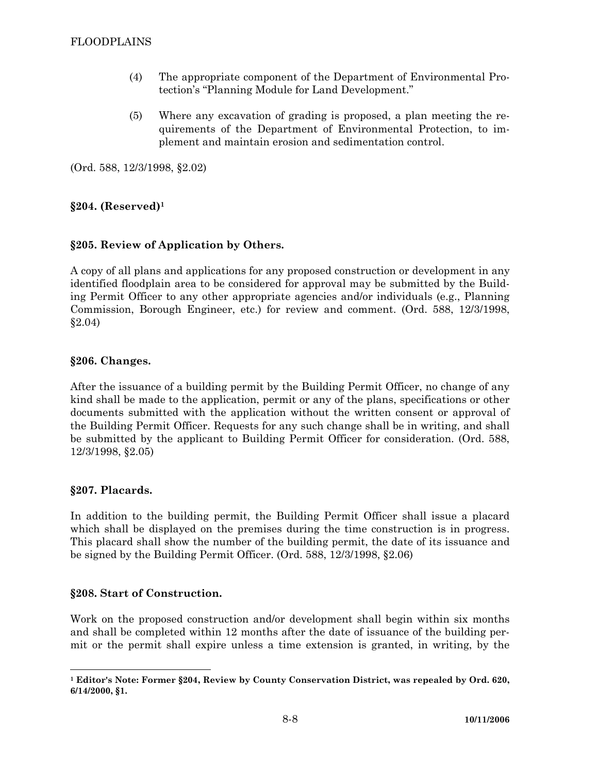- (4) The appropriate component of the Department of Environmental Protection's "Planning Module for Land Development."
- (5) Where any excavation of grading is proposed, a plan meeting the requirements of the Department of Environmental Protection, to implement and maintain erosion and sedimentation control.

(Ord. 588, 12/3/1998, §2.02)

# **§204. (Reserved)1**

# **§205. Review of Application by Others.**

A copy of all plans and applications for any proposed construction or development in any identified floodplain area to be considered for approval may be submitted by the Building Permit Officer to any other appropriate agencies and/or individuals (e.g., Planning Commission, Borough Engineer, etc.) for review and comment. (Ord. 588, 12/3/1998, §2.04)

#### **§206. Changes.**

After the issuance of a building permit by the Building Permit Officer, no change of any kind shall be made to the application, permit or any of the plans, specifications or other documents submitted with the application without the written consent or approval of the Building Permit Officer. Requests for any such change shall be in writing, and shall be submitted by the applicant to Building Permit Officer for consideration. (Ord. 588, 12/3/1998, §2.05)

#### **§207. Placards.**

In addition to the building permit, the Building Permit Officer shall issue a placard which shall be displayed on the premises during the time construction is in progress. This placard shall show the number of the building permit, the date of its issuance and be signed by the Building Permit Officer. (Ord. 588, 12/3/1998, §2.06)

#### **§208. Start of Construction.**

Work on the proposed construction and/or development shall begin within six months and shall be completed within 12 months after the date of issuance of the building permit or the permit shall expire unless a time extension is granted, in writing, by the

**<sup>1</sup> Editor's Note: Former §204, Review by County Conservation District, was repealed by Ord. 620, 6/14/2000, §1.**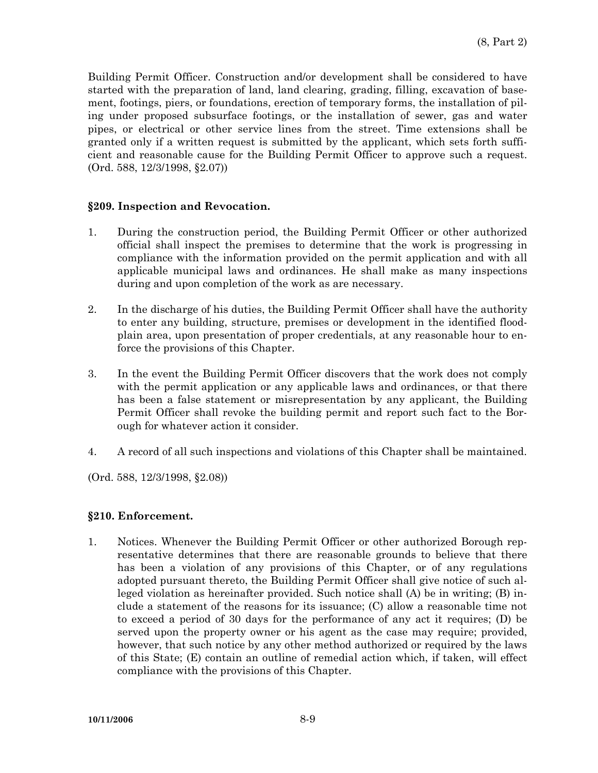Building Permit Officer. Construction and/or development shall be considered to have started with the preparation of land, land clearing, grading, filling, excavation of basement, footings, piers, or foundations, erection of temporary forms, the installation of piling under proposed subsurface footings, or the installation of sewer, gas and water pipes, or electrical or other service lines from the street. Time extensions shall be granted only if a written request is submitted by the applicant, which sets forth sufficient and reasonable cause for the Building Permit Officer to approve such a request. (Ord. 588, 12/3/1998, §2.07))

# **§209. Inspection and Revocation.**

- 1. During the construction period, the Building Permit Officer or other authorized official shall inspect the premises to determine that the work is progressing in compliance with the information provided on the permit application and with all applicable municipal laws and ordinances. He shall make as many inspections during and upon completion of the work as are necessary.
- 2. In the discharge of his duties, the Building Permit Officer shall have the authority to enter any building, structure, premises or development in the identified floodplain area, upon presentation of proper credentials, at any reasonable hour to enforce the provisions of this Chapter.
- 3. In the event the Building Permit Officer discovers that the work does not comply with the permit application or any applicable laws and ordinances, or that there has been a false statement or misrepresentation by any applicant, the Building Permit Officer shall revoke the building permit and report such fact to the Borough for whatever action it consider.
- 4. A record of all such inspections and violations of this Chapter shall be maintained.

(Ord. 588, 12/3/1998, §2.08))

# **§210. Enforcement.**

1. Notices. Whenever the Building Permit Officer or other authorized Borough representative determines that there are reasonable grounds to believe that there has been a violation of any provisions of this Chapter, or of any regulations adopted pursuant thereto, the Building Permit Officer shall give notice of such alleged violation as hereinafter provided. Such notice shall (A) be in writing; (B) include a statement of the reasons for its issuance; (C) allow a reasonable time not to exceed a period of 30 days for the performance of any act it requires; (D) be served upon the property owner or his agent as the case may require; provided, however, that such notice by any other method authorized or required by the laws of this State; (E) contain an outline of remedial action which, if taken, will effect compliance with the provisions of this Chapter.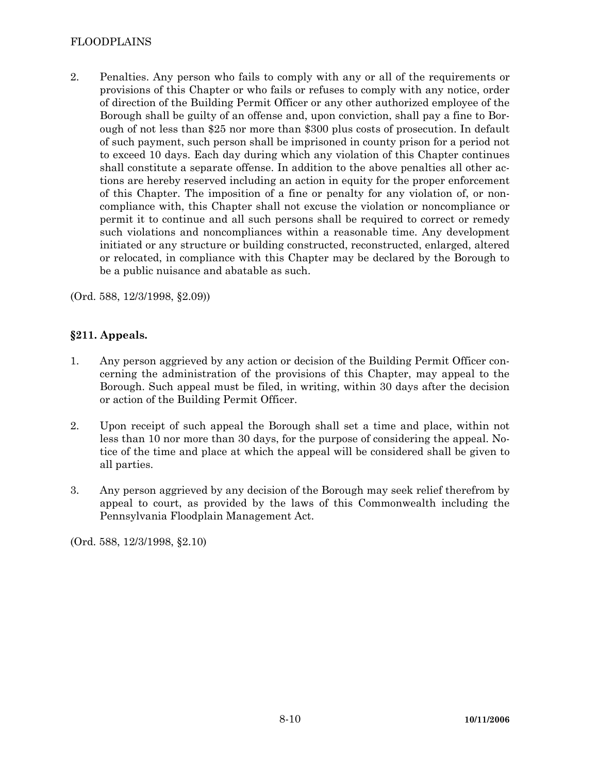# FLOODPLAINS

2. Penalties. Any person who fails to comply with any or all of the requirements or provisions of this Chapter or who fails or refuses to comply with any notice, order of direction of the Building Permit Officer or any other authorized employee of the Borough shall be guilty of an offense and, upon conviction, shall pay a fine to Borough of not less than \$25 nor more than \$300 plus costs of prosecution. In default of such payment, such person shall be imprisoned in county prison for a period not to exceed 10 days. Each day during which any violation of this Chapter continues shall constitute a separate offense. In addition to the above penalties all other actions are hereby reserved including an action in equity for the proper enforcement of this Chapter. The imposition of a fine or penalty for any violation of, or noncompliance with, this Chapter shall not excuse the violation or noncompliance or permit it to continue and all such persons shall be required to correct or remedy such violations and noncompliances within a reasonable time. Any development initiated or any structure or building constructed, reconstructed, enlarged, altered or relocated, in compliance with this Chapter may be declared by the Borough to be a public nuisance and abatable as such.

(Ord. 588, 12/3/1998, §2.09))

# **§211. Appeals.**

- 1. Any person aggrieved by any action or decision of the Building Permit Officer concerning the administration of the provisions of this Chapter, may appeal to the Borough. Such appeal must be filed, in writing, within 30 days after the decision or action of the Building Permit Officer.
- 2. Upon receipt of such appeal the Borough shall set a time and place, within not less than 10 nor more than 30 days, for the purpose of considering the appeal. Notice of the time and place at which the appeal will be considered shall be given to all parties.
- 3. Any person aggrieved by any decision of the Borough may seek relief therefrom by appeal to court, as provided by the laws of this Commonwealth including the Pennsylvania Floodplain Management Act.

(Ord. 588, 12/3/1998, §2.10)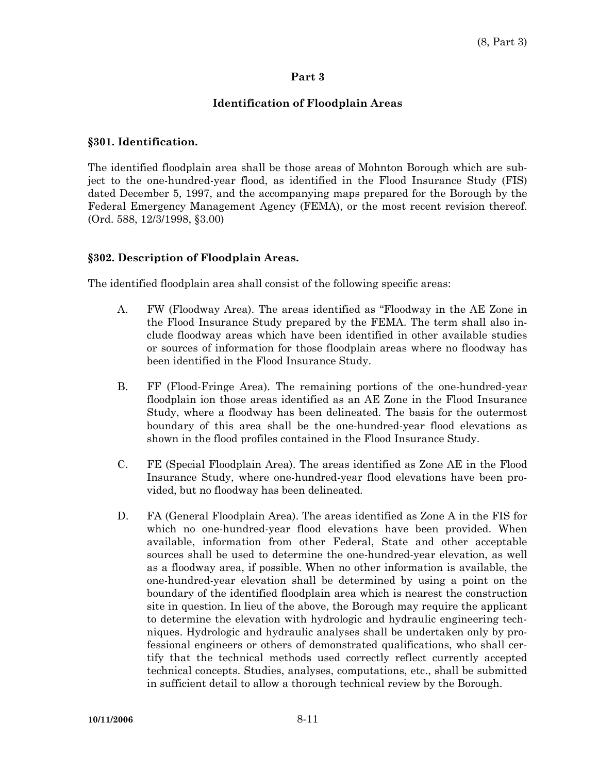# **Identification of Floodplain Areas**

### **§301. Identification.**

The identified floodplain area shall be those areas of Mohnton Borough which are subject to the one-hundred-year flood, as identified in the Flood Insurance Study (FIS) dated December 5, 1997, and the accompanying maps prepared for the Borough by the Federal Emergency Management Agency (FEMA), or the most recent revision thereof. (Ord. 588, 12/3/1998, §3.00)

### **§302. Description of Floodplain Areas.**

The identified floodplain area shall consist of the following specific areas:

- A. FW (Floodway Area). The areas identified as "Floodway in the AE Zone in the Flood Insurance Study prepared by the FEMA. The term shall also include floodway areas which have been identified in other available studies or sources of information for those floodplain areas where no floodway has been identified in the Flood Insurance Study.
- B. FF (Flood-Fringe Area). The remaining portions of the one-hundred-year floodplain ion those areas identified as an AE Zone in the Flood Insurance Study, where a floodway has been delineated. The basis for the outermost boundary of this area shall be the one-hundred-year flood elevations as shown in the flood profiles contained in the Flood Insurance Study.
- C. FE (Special Floodplain Area). The areas identified as Zone AE in the Flood Insurance Study, where one-hundred-year flood elevations have been provided, but no floodway has been delineated.
- D. FA (General Floodplain Area). The areas identified as Zone A in the FIS for which no one-hundred-year flood elevations have been provided. When available, information from other Federal, State and other acceptable sources shall be used to determine the one-hundred-year elevation, as well as a floodway area, if possible. When no other information is available, the one-hundred-year elevation shall be determined by using a point on the boundary of the identified floodplain area which is nearest the construction site in question. In lieu of the above, the Borough may require the applicant to determine the elevation with hydrologic and hydraulic engineering techniques. Hydrologic and hydraulic analyses shall be undertaken only by professional engineers or others of demonstrated qualifications, who shall certify that the technical methods used correctly reflect currently accepted technical concepts. Studies, analyses, computations, etc., shall be submitted in sufficient detail to allow a thorough technical review by the Borough.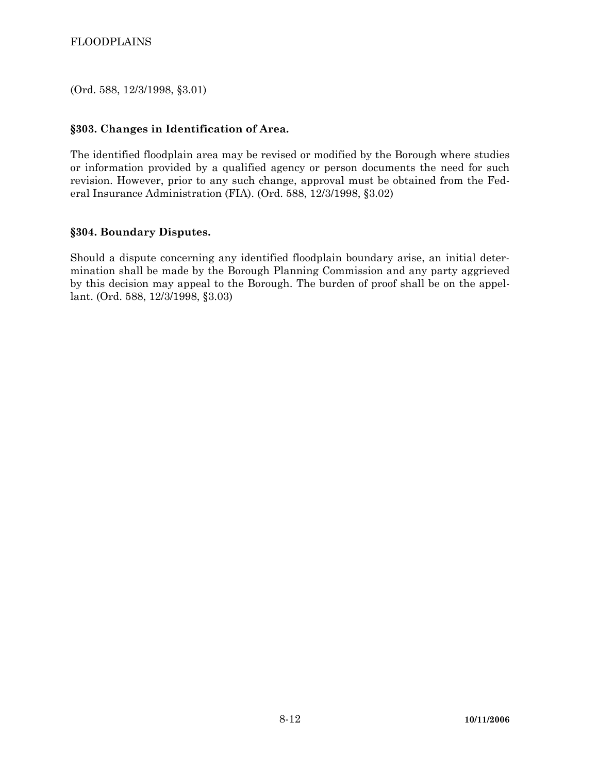(Ord. 588, 12/3/1998, §3.01)

# **§303. Changes in Identification of Area.**

The identified floodplain area may be revised or modified by the Borough where studies or information provided by a qualified agency or person documents the need for such revision. However, prior to any such change, approval must be obtained from the Federal Insurance Administration (FIA). (Ord. 588, 12/3/1998, §3.02)

# **§304. Boundary Disputes.**

Should a dispute concerning any identified floodplain boundary arise, an initial determination shall be made by the Borough Planning Commission and any party aggrieved by this decision may appeal to the Borough. The burden of proof shall be on the appellant. (Ord. 588, 12/3/1998, §3.03)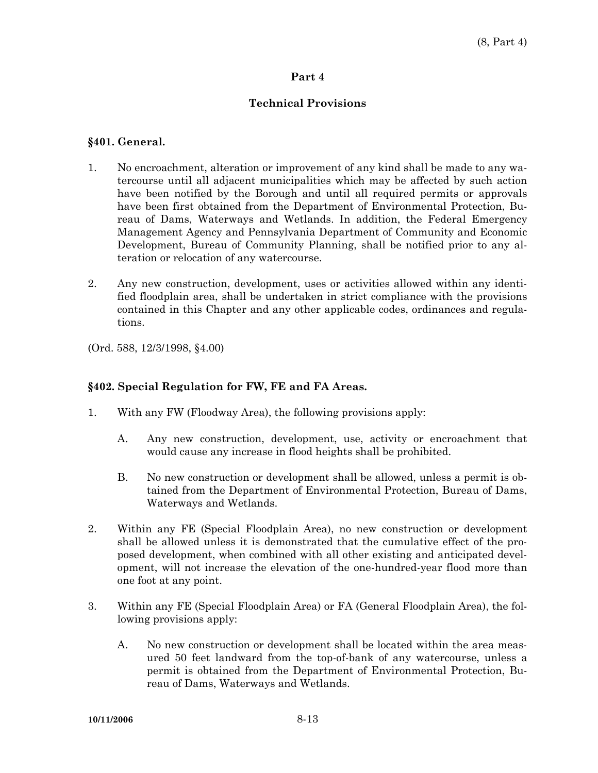# **Technical Provisions**

#### **§401. General.**

- 1. No encroachment, alteration or improvement of any kind shall be made to any watercourse until all adjacent municipalities which may be affected by such action have been notified by the Borough and until all required permits or approvals have been first obtained from the Department of Environmental Protection, Bureau of Dams, Waterways and Wetlands. In addition, the Federal Emergency Management Agency and Pennsylvania Department of Community and Economic Development, Bureau of Community Planning, shall be notified prior to any alteration or relocation of any watercourse.
- 2. Any new construction, development, uses or activities allowed within any identified floodplain area, shall be undertaken in strict compliance with the provisions contained in this Chapter and any other applicable codes, ordinances and regulations.

(Ord. 588, 12/3/1998, §4.00)

### **§402. Special Regulation for FW, FE and FA Areas.**

- 1. With any FW (Floodway Area), the following provisions apply:
	- A. Any new construction, development, use, activity or encroachment that would cause any increase in flood heights shall be prohibited.
	- B. No new construction or development shall be allowed, unless a permit is obtained from the Department of Environmental Protection, Bureau of Dams, Waterways and Wetlands.
- 2. Within any FE (Special Floodplain Area), no new construction or development shall be allowed unless it is demonstrated that the cumulative effect of the proposed development, when combined with all other existing and anticipated development, will not increase the elevation of the one-hundred-year flood more than one foot at any point.
- 3. Within any FE (Special Floodplain Area) or FA (General Floodplain Area), the following provisions apply:
	- A. No new construction or development shall be located within the area measured 50 feet landward from the top-of-bank of any watercourse, unless a permit is obtained from the Department of Environmental Protection, Bureau of Dams, Waterways and Wetlands.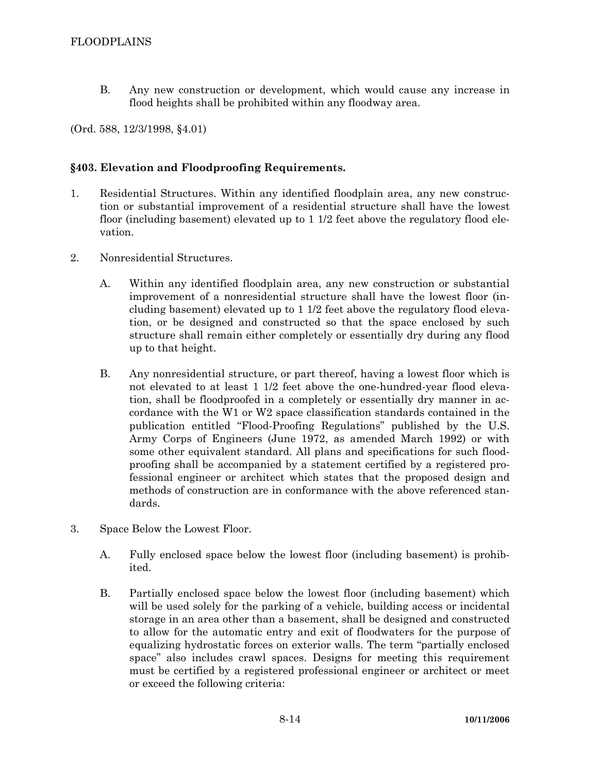B. Any new construction or development, which would cause any increase in flood heights shall be prohibited within any floodway area.

(Ord. 588, 12/3/1998, §4.01)

### **§403. Elevation and Floodproofing Requirements.**

- 1. Residential Structures. Within any identified floodplain area, any new construction or substantial improvement of a residential structure shall have the lowest floor (including basement) elevated up to 1 1/2 feet above the regulatory flood elevation.
- 2. Nonresidential Structures.
	- A. Within any identified floodplain area, any new construction or substantial improvement of a nonresidential structure shall have the lowest floor (including basement) elevated up to 1 1/2 feet above the regulatory flood elevation, or be designed and constructed so that the space enclosed by such structure shall remain either completely or essentially dry during any flood up to that height.
	- B. Any nonresidential structure, or part thereof, having a lowest floor which is not elevated to at least 1 1/2 feet above the one-hundred-year flood elevation, shall be floodproofed in a completely or essentially dry manner in accordance with the W1 or W2 space classification standards contained in the publication entitled "Flood-Proofing Regulations" published by the U.S. Army Corps of Engineers (June 1972, as amended March 1992) or with some other equivalent standard. All plans and specifications for such floodproofing shall be accompanied by a statement certified by a registered professional engineer or architect which states that the proposed design and methods of construction are in conformance with the above referenced standards.
- 3. Space Below the Lowest Floor.
	- A. Fully enclosed space below the lowest floor (including basement) is prohibited.
	- B. Partially enclosed space below the lowest floor (including basement) which will be used solely for the parking of a vehicle, building access or incidental storage in an area other than a basement, shall be designed and constructed to allow for the automatic entry and exit of floodwaters for the purpose of equalizing hydrostatic forces on exterior walls. The term "partially enclosed space" also includes crawl spaces. Designs for meeting this requirement must be certified by a registered professional engineer or architect or meet or exceed the following criteria: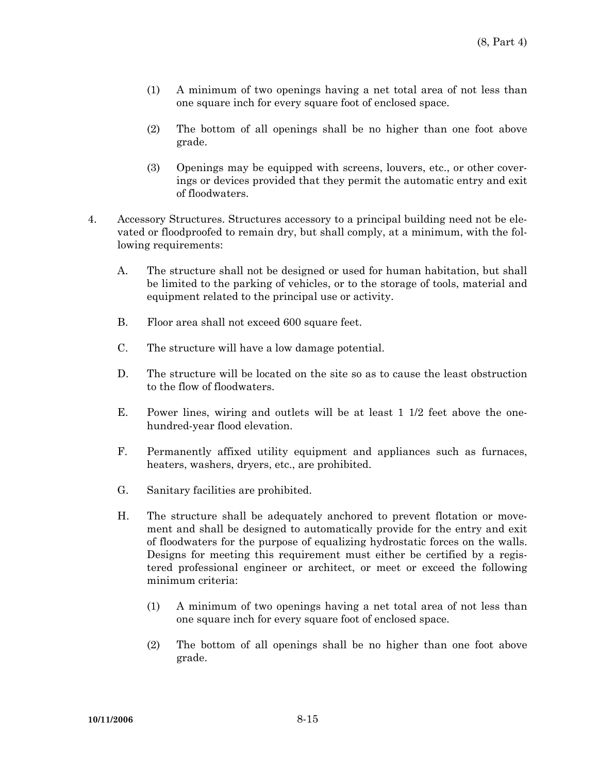- (1) A minimum of two openings having a net total area of not less than one square inch for every square foot of enclosed space.
- (2) The bottom of all openings shall be no higher than one foot above grade.
- (3) Openings may be equipped with screens, louvers, etc., or other coverings or devices provided that they permit the automatic entry and exit of floodwaters.
- 4. Accessory Structures. Structures accessory to a principal building need not be elevated or floodproofed to remain dry, but shall comply, at a minimum, with the following requirements:
	- A. The structure shall not be designed or used for human habitation, but shall be limited to the parking of vehicles, or to the storage of tools, material and equipment related to the principal use or activity.
	- B. Floor area shall not exceed 600 square feet.
	- C. The structure will have a low damage potential.
	- D. The structure will be located on the site so as to cause the least obstruction to the flow of floodwaters.
	- E. Power lines, wiring and outlets will be at least 1 1/2 feet above the onehundred-year flood elevation.
	- F. Permanently affixed utility equipment and appliances such as furnaces, heaters, washers, dryers, etc., are prohibited.
	- G. Sanitary facilities are prohibited.
	- H. The structure shall be adequately anchored to prevent flotation or movement and shall be designed to automatically provide for the entry and exit of floodwaters for the purpose of equalizing hydrostatic forces on the walls. Designs for meeting this requirement must either be certified by a registered professional engineer or architect, or meet or exceed the following minimum criteria:
		- (1) A minimum of two openings having a net total area of not less than one square inch for every square foot of enclosed space.
		- (2) The bottom of all openings shall be no higher than one foot above grade.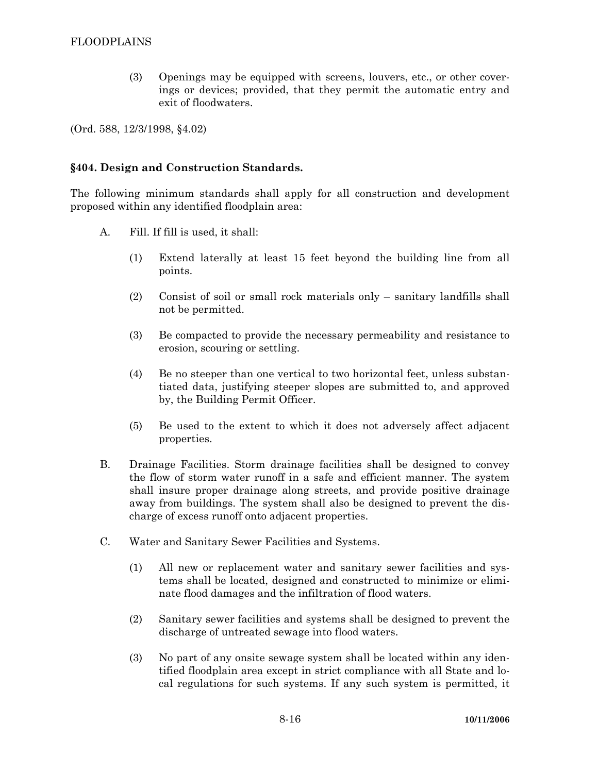(3) Openings may be equipped with screens, louvers, etc., or other coverings or devices; provided, that they permit the automatic entry and exit of floodwaters.

(Ord. 588, 12/3/1998, §4.02)

### **§404. Design and Construction Standards.**

The following minimum standards shall apply for all construction and development proposed within any identified floodplain area:

- A. Fill. If fill is used, it shall:
	- (1) Extend laterally at least 15 feet beyond the building line from all points.
	- (2) Consist of soil or small rock materials only sanitary landfills shall not be permitted.
	- (3) Be compacted to provide the necessary permeability and resistance to erosion, scouring or settling.
	- (4) Be no steeper than one vertical to two horizontal feet, unless substantiated data, justifying steeper slopes are submitted to, and approved by, the Building Permit Officer.
	- (5) Be used to the extent to which it does not adversely affect adjacent properties.
- B. Drainage Facilities. Storm drainage facilities shall be designed to convey the flow of storm water runoff in a safe and efficient manner. The system shall insure proper drainage along streets, and provide positive drainage away from buildings. The system shall also be designed to prevent the discharge of excess runoff onto adjacent properties.
- C. Water and Sanitary Sewer Facilities and Systems.
	- (1) All new or replacement water and sanitary sewer facilities and systems shall be located, designed and constructed to minimize or eliminate flood damages and the infiltration of flood waters.
	- (2) Sanitary sewer facilities and systems shall be designed to prevent the discharge of untreated sewage into flood waters.
	- (3) No part of any onsite sewage system shall be located within any identified floodplain area except in strict compliance with all State and local regulations for such systems. If any such system is permitted, it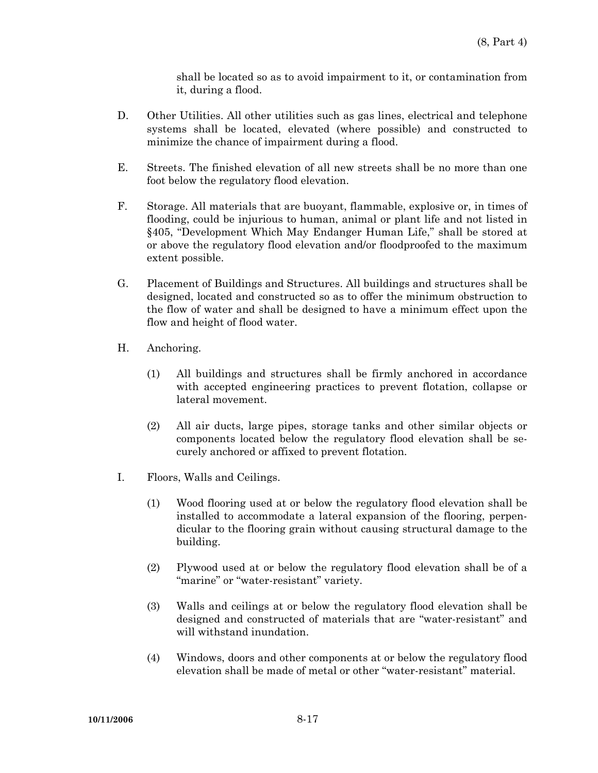shall be located so as to avoid impairment to it, or contamination from it, during a flood.

- D. Other Utilities. All other utilities such as gas lines, electrical and telephone systems shall be located, elevated (where possible) and constructed to minimize the chance of impairment during a flood.
- E. Streets. The finished elevation of all new streets shall be no more than one foot below the regulatory flood elevation.
- F. Storage. All materials that are buoyant, flammable, explosive or, in times of flooding, could be injurious to human, animal or plant life and not listed in §405, "Development Which May Endanger Human Life," shall be stored at or above the regulatory flood elevation and/or floodproofed to the maximum extent possible.
- G. Placement of Buildings and Structures. All buildings and structures shall be designed, located and constructed so as to offer the minimum obstruction to the flow of water and shall be designed to have a minimum effect upon the flow and height of flood water.
- H. Anchoring.
	- (1) All buildings and structures shall be firmly anchored in accordance with accepted engineering practices to prevent flotation, collapse or lateral movement.
	- (2) All air ducts, large pipes, storage tanks and other similar objects or components located below the regulatory flood elevation shall be securely anchored or affixed to prevent flotation.
- I. Floors, Walls and Ceilings.
	- (1) Wood flooring used at or below the regulatory flood elevation shall be installed to accommodate a lateral expansion of the flooring, perpendicular to the flooring grain without causing structural damage to the building.
	- (2) Plywood used at or below the regulatory flood elevation shall be of a "marine" or "water-resistant" variety.
	- (3) Walls and ceilings at or below the regulatory flood elevation shall be designed and constructed of materials that are "water-resistant" and will withstand inundation.
	- (4) Windows, doors and other components at or below the regulatory flood elevation shall be made of metal or other "water-resistant" material.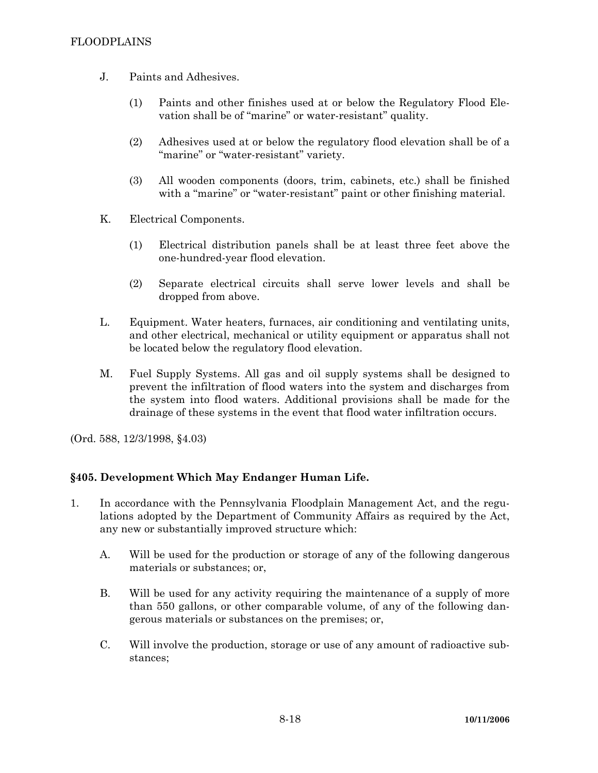- J. Paints and Adhesives.
	- (1) Paints and other finishes used at or below the Regulatory Flood Elevation shall be of "marine" or water-resistant" quality.
	- (2) Adhesives used at or below the regulatory flood elevation shall be of a "marine" or "water-resistant" variety.
	- (3) All wooden components (doors, trim, cabinets, etc.) shall be finished with a "marine" or "water-resistant" paint or other finishing material.
- K. Electrical Components.
	- (1) Electrical distribution panels shall be at least three feet above the one-hundred-year flood elevation.
	- (2) Separate electrical circuits shall serve lower levels and shall be dropped from above.
- L. Equipment. Water heaters, furnaces, air conditioning and ventilating units, and other electrical, mechanical or utility equipment or apparatus shall not be located below the regulatory flood elevation.
- M. Fuel Supply Systems. All gas and oil supply systems shall be designed to prevent the infiltration of flood waters into the system and discharges from the system into flood waters. Additional provisions shall be made for the drainage of these systems in the event that flood water infiltration occurs.

(Ord. 588, 12/3/1998, §4.03)

# **§405. Development Which May Endanger Human Life.**

- 1. In accordance with the Pennsylvania Floodplain Management Act, and the regulations adopted by the Department of Community Affairs as required by the Act, any new or substantially improved structure which:
	- A. Will be used for the production or storage of any of the following dangerous materials or substances; or,
	- B. Will be used for any activity requiring the maintenance of a supply of more than 550 gallons, or other comparable volume, of any of the following dangerous materials or substances on the premises; or,
	- C. Will involve the production, storage or use of any amount of radioactive substances;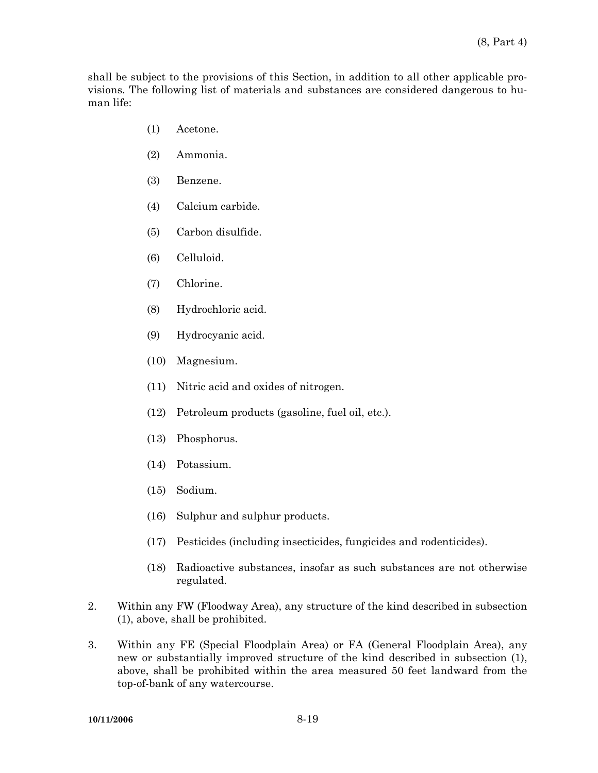shall be subject to the provisions of this Section, in addition to all other applicable provisions. The following list of materials and substances are considered dangerous to human life:

- (1) Acetone.
- (2) Ammonia.
- (3) Benzene.
- (4) Calcium carbide.
- (5) Carbon disulfide.
- (6) Celluloid.
- (7) Chlorine.
- (8) Hydrochloric acid.
- (9) Hydrocyanic acid.
- (10) Magnesium.
- (11) Nitric acid and oxides of nitrogen.
- (12) Petroleum products (gasoline, fuel oil, etc.).
- (13) Phosphorus.
- (14) Potassium.
- (15) Sodium.
- (16) Sulphur and sulphur products.
- (17) Pesticides (including insecticides, fungicides and rodenticides).
- (18) Radioactive substances, insofar as such substances are not otherwise regulated.
- 2. Within any FW (Floodway Area), any structure of the kind described in subsection (1), above, shall be prohibited.
- 3. Within any FE (Special Floodplain Area) or FA (General Floodplain Area), any new or substantially improved structure of the kind described in subsection (1), above, shall be prohibited within the area measured 50 feet landward from the top-of-bank of any watercourse.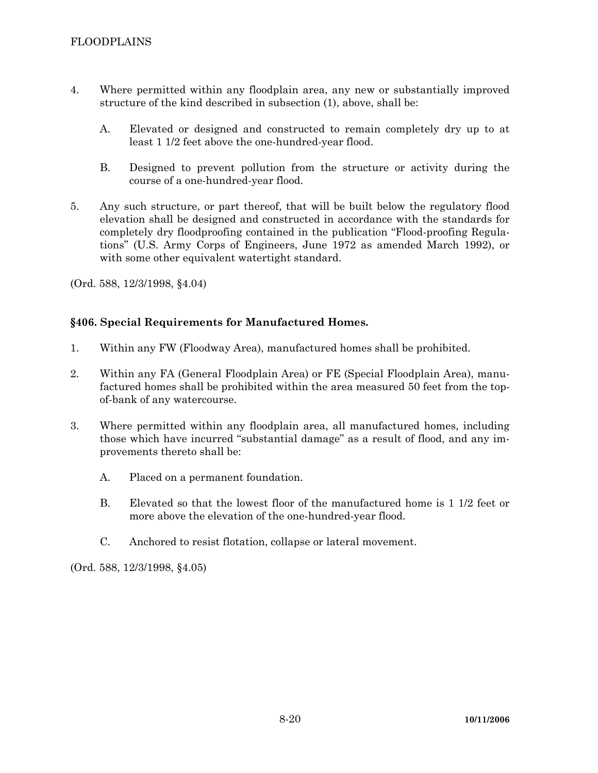- 4. Where permitted within any floodplain area, any new or substantially improved structure of the kind described in subsection (1), above, shall be:
	- A. Elevated or designed and constructed to remain completely dry up to at least 1 1/2 feet above the one-hundred-year flood.
	- B. Designed to prevent pollution from the structure or activity during the course of a one-hundred-year flood.
- 5. Any such structure, or part thereof, that will be built below the regulatory flood elevation shall be designed and constructed in accordance with the standards for completely dry floodproofing contained in the publication "Flood-proofing Regulations" (U.S. Army Corps of Engineers, June 1972 as amended March 1992), or with some other equivalent watertight standard.

(Ord. 588, 12/3/1998, §4.04)

# **§406. Special Requirements for Manufactured Homes.**

- 1. Within any FW (Floodway Area), manufactured homes shall be prohibited.
- 2. Within any FA (General Floodplain Area) or FE (Special Floodplain Area), manufactured homes shall be prohibited within the area measured 50 feet from the topof-bank of any watercourse.
- 3. Where permitted within any floodplain area, all manufactured homes, including those which have incurred "substantial damage" as a result of flood, and any improvements thereto shall be:
	- A. Placed on a permanent foundation.
	- B. Elevated so that the lowest floor of the manufactured home is 1 1/2 feet or more above the elevation of the one-hundred-year flood.
	- C. Anchored to resist flotation, collapse or lateral movement.

(Ord. 588, 12/3/1998, §4.05)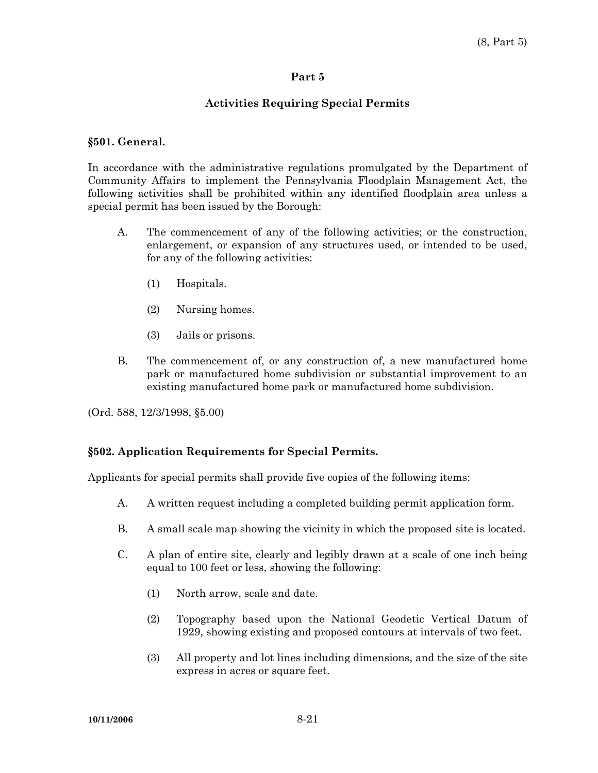# **Activities Requiring Special Permits**

### **§501. General.**

In accordance with the administrative regulations promulgated by the Department of Community Affairs to implement the Pennsylvania Floodplain Management Act, the following activities shall be prohibited within any identified floodplain area unless a special permit has been issued by the Borough:

- A. The commencement of any of the following activities; or the construction, enlargement, or expansion of any structures used, or intended to be used, for any of the following activities:
	- (1) Hospitals.
	- (2) Nursing homes.
	- (3) Jails or prisons.
- B. The commencement of, or any construction of, a new manufactured home park or manufactured home subdivision or substantial improvement to an existing manufactured home park or manufactured home subdivision.

(Ord. 588, 12/3/1998, §5.00)

# **§502. Application Requirements for Special Permits.**

Applicants for special permits shall provide five copies of the following items:

- A. A written request including a completed building permit application form.
- B. A small scale map showing the vicinity in which the proposed site is located.
- C. A plan of entire site, clearly and legibly drawn at a scale of one inch being equal to 100 feet or less, showing the following:
	- (1) North arrow, scale and date.
	- (2) Topography based upon the National Geodetic Vertical Datum of 1929, showing existing and proposed contours at intervals of two feet.
	- (3) All property and lot lines including dimensions, and the size of the site express in acres or square feet.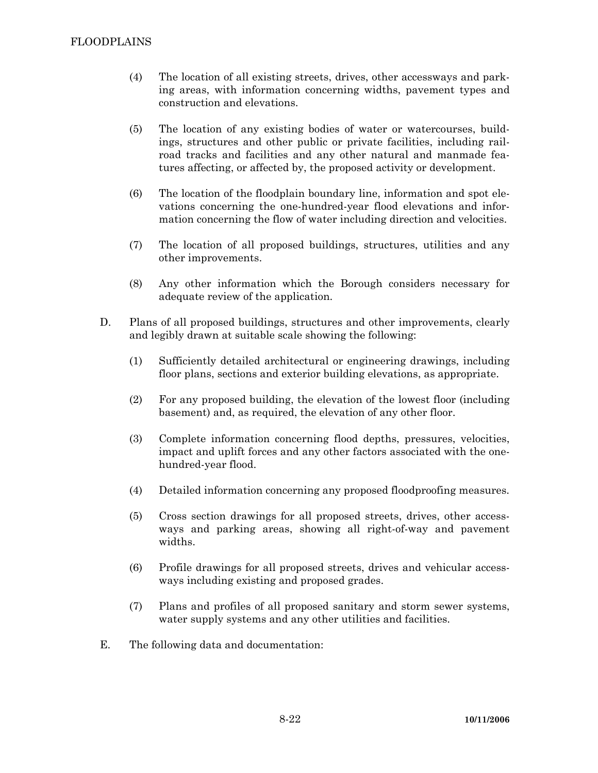- (4) The location of all existing streets, drives, other accessways and parking areas, with information concerning widths, pavement types and construction and elevations.
- (5) The location of any existing bodies of water or watercourses, buildings, structures and other public or private facilities, including railroad tracks and facilities and any other natural and manmade features affecting, or affected by, the proposed activity or development.
- (6) The location of the floodplain boundary line, information and spot elevations concerning the one-hundred-year flood elevations and information concerning the flow of water including direction and velocities.
- (7) The location of all proposed buildings, structures, utilities and any other improvements.
- (8) Any other information which the Borough considers necessary for adequate review of the application.
- D. Plans of all proposed buildings, structures and other improvements, clearly and legibly drawn at suitable scale showing the following:
	- (1) Sufficiently detailed architectural or engineering drawings, including floor plans, sections and exterior building elevations, as appropriate.
	- (2) For any proposed building, the elevation of the lowest floor (including basement) and, as required, the elevation of any other floor.
	- (3) Complete information concerning flood depths, pressures, velocities, impact and uplift forces and any other factors associated with the onehundred-year flood.
	- (4) Detailed information concerning any proposed floodproofing measures.
	- (5) Cross section drawings for all proposed streets, drives, other accessways and parking areas, showing all right-of-way and pavement widths.
	- (6) Profile drawings for all proposed streets, drives and vehicular accessways including existing and proposed grades.
	- (7) Plans and profiles of all proposed sanitary and storm sewer systems, water supply systems and any other utilities and facilities.
- E. The following data and documentation: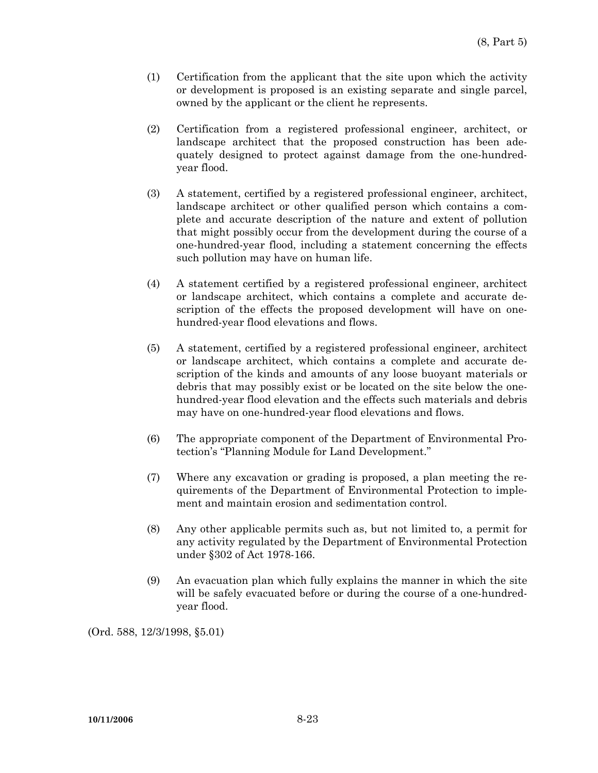- (1) Certification from the applicant that the site upon which the activity or development is proposed is an existing separate and single parcel, owned by the applicant or the client he represents.
- (2) Certification from a registered professional engineer, architect, or landscape architect that the proposed construction has been adequately designed to protect against damage from the one-hundredyear flood.
- (3) A statement, certified by a registered professional engineer, architect, landscape architect or other qualified person which contains a complete and accurate description of the nature and extent of pollution that might possibly occur from the development during the course of a one-hundred-year flood, including a statement concerning the effects such pollution may have on human life.
- (4) A statement certified by a registered professional engineer, architect or landscape architect, which contains a complete and accurate description of the effects the proposed development will have on onehundred-year flood elevations and flows.
- (5) A statement, certified by a registered professional engineer, architect or landscape architect, which contains a complete and accurate description of the kinds and amounts of any loose buoyant materials or debris that may possibly exist or be located on the site below the onehundred-year flood elevation and the effects such materials and debris may have on one-hundred-year flood elevations and flows.
- (6) The appropriate component of the Department of Environmental Protection's "Planning Module for Land Development."
- (7) Where any excavation or grading is proposed, a plan meeting the requirements of the Department of Environmental Protection to implement and maintain erosion and sedimentation control.
- (8) Any other applicable permits such as, but not limited to, a permit for any activity regulated by the Department of Environmental Protection under §302 of Act 1978-166.
- (9) An evacuation plan which fully explains the manner in which the site will be safely evacuated before or during the course of a one-hundredyear flood.

(Ord. 588, 12/3/1998, §5.01)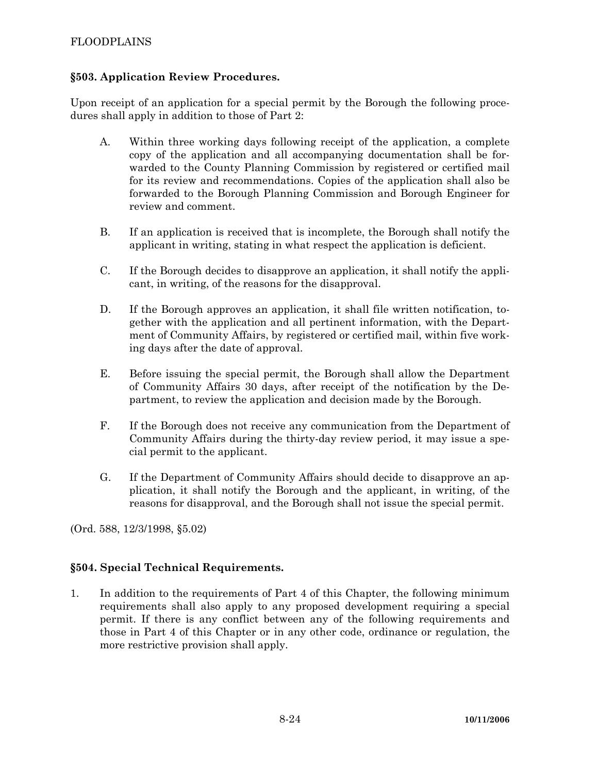# **§503. Application Review Procedures.**

Upon receipt of an application for a special permit by the Borough the following procedures shall apply in addition to those of Part 2:

- A. Within three working days following receipt of the application, a complete copy of the application and all accompanying documentation shall be forwarded to the County Planning Commission by registered or certified mail for its review and recommendations. Copies of the application shall also be forwarded to the Borough Planning Commission and Borough Engineer for review and comment.
- B. If an application is received that is incomplete, the Borough shall notify the applicant in writing, stating in what respect the application is deficient.
- C. If the Borough decides to disapprove an application, it shall notify the applicant, in writing, of the reasons for the disapproval.
- D. If the Borough approves an application, it shall file written notification, together with the application and all pertinent information, with the Department of Community Affairs, by registered or certified mail, within five working days after the date of approval.
- E. Before issuing the special permit, the Borough shall allow the Department of Community Affairs 30 days, after receipt of the notification by the Department, to review the application and decision made by the Borough.
- F. If the Borough does not receive any communication from the Department of Community Affairs during the thirty-day review period, it may issue a special permit to the applicant.
- G. If the Department of Community Affairs should decide to disapprove an application, it shall notify the Borough and the applicant, in writing, of the reasons for disapproval, and the Borough shall not issue the special permit.

(Ord. 588, 12/3/1998, §5.02)

# **§504. Special Technical Requirements.**

1. In addition to the requirements of Part 4 of this Chapter, the following minimum requirements shall also apply to any proposed development requiring a special permit. If there is any conflict between any of the following requirements and those in Part 4 of this Chapter or in any other code, ordinance or regulation, the more restrictive provision shall apply.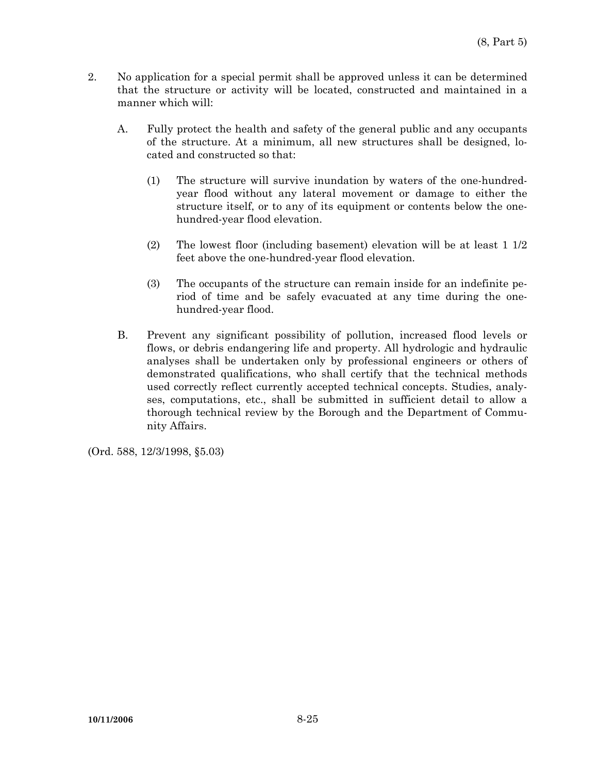- 2. No application for a special permit shall be approved unless it can be determined that the structure or activity will be located, constructed and maintained in a manner which will:
	- A. Fully protect the health and safety of the general public and any occupants of the structure. At a minimum, all new structures shall be designed, located and constructed so that:
		- (1) The structure will survive inundation by waters of the one-hundredyear flood without any lateral movement or damage to either the structure itself, or to any of its equipment or contents below the onehundred-year flood elevation.
		- (2) The lowest floor (including basement) elevation will be at least 1 1/2 feet above the one-hundred-year flood elevation.
		- (3) The occupants of the structure can remain inside for an indefinite period of time and be safely evacuated at any time during the onehundred-year flood.
	- B. Prevent any significant possibility of pollution, increased flood levels or flows, or debris endangering life and property. All hydrologic and hydraulic analyses shall be undertaken only by professional engineers or others of demonstrated qualifications, who shall certify that the technical methods used correctly reflect currently accepted technical concepts. Studies, analyses, computations, etc., shall be submitted in sufficient detail to allow a thorough technical review by the Borough and the Department of Community Affairs.

(Ord. 588, 12/3/1998, §5.03)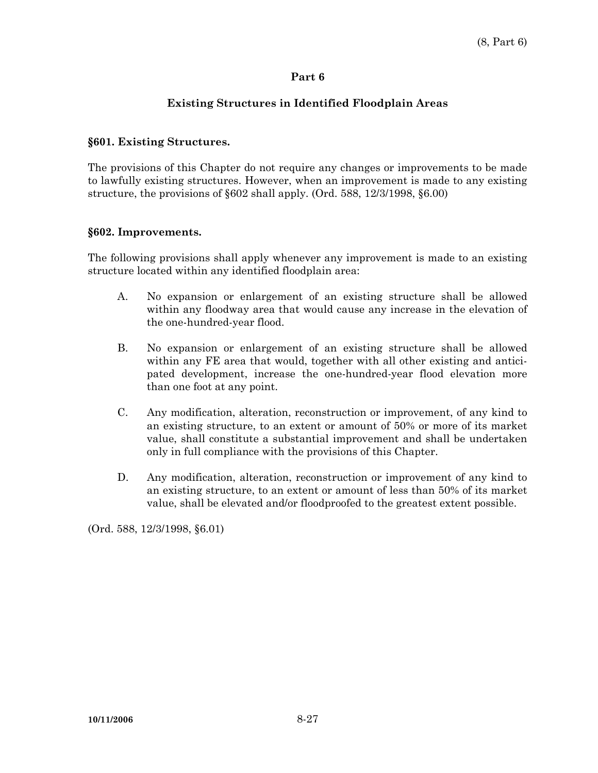# **Existing Structures in Identified Floodplain Areas**

### **§601. Existing Structures.**

The provisions of this Chapter do not require any changes or improvements to be made to lawfully existing structures. However, when an improvement is made to any existing structure, the provisions of §602 shall apply. (Ord. 588, 12/3/1998, §6.00)

#### **§602. Improvements.**

The following provisions shall apply whenever any improvement is made to an existing structure located within any identified floodplain area:

- A. No expansion or enlargement of an existing structure shall be allowed within any floodway area that would cause any increase in the elevation of the one-hundred-year flood.
- B. No expansion or enlargement of an existing structure shall be allowed within any FE area that would, together with all other existing and anticipated development, increase the one-hundred-year flood elevation more than one foot at any point.
- C. Any modification, alteration, reconstruction or improvement, of any kind to an existing structure, to an extent or amount of 50% or more of its market value, shall constitute a substantial improvement and shall be undertaken only in full compliance with the provisions of this Chapter.
- D. Any modification, alteration, reconstruction or improvement of any kind to an existing structure, to an extent or amount of less than 50% of its market value, shall be elevated and/or floodproofed to the greatest extent possible.

(Ord. 588, 12/3/1998, §6.01)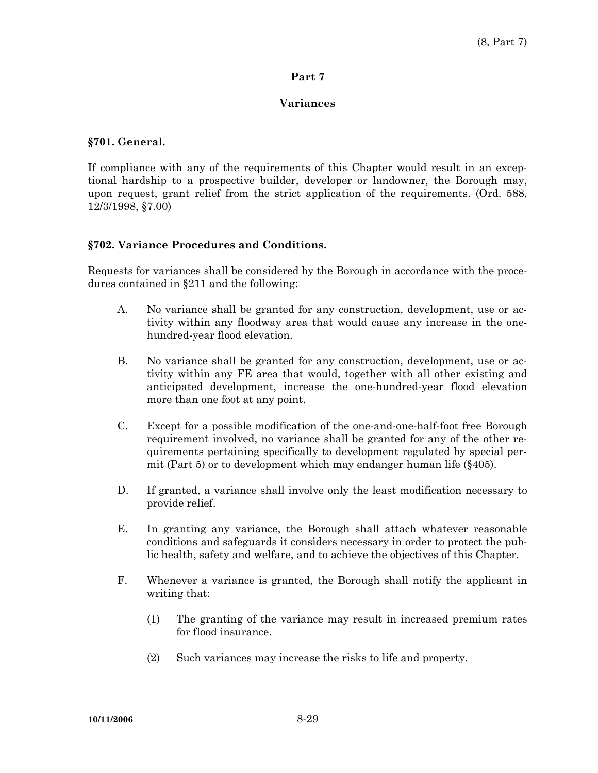### **Variances**

### **§701. General.**

If compliance with any of the requirements of this Chapter would result in an exceptional hardship to a prospective builder, developer or landowner, the Borough may, upon request, grant relief from the strict application of the requirements. (Ord. 588, 12/3/1998, §7.00)

### **§702. Variance Procedures and Conditions.**

Requests for variances shall be considered by the Borough in accordance with the procedures contained in §211 and the following:

- A. No variance shall be granted for any construction, development, use or activity within any floodway area that would cause any increase in the onehundred-year flood elevation.
- B. No variance shall be granted for any construction, development, use or activity within any FE area that would, together with all other existing and anticipated development, increase the one-hundred-year flood elevation more than one foot at any point.
- C. Except for a possible modification of the one-and-one-half-foot free Borough requirement involved, no variance shall be granted for any of the other requirements pertaining specifically to development regulated by special permit (Part 5) or to development which may endanger human life (§405).
- D. If granted, a variance shall involve only the least modification necessary to provide relief.
- E. In granting any variance, the Borough shall attach whatever reasonable conditions and safeguards it considers necessary in order to protect the public health, safety and welfare, and to achieve the objectives of this Chapter.
- F. Whenever a variance is granted, the Borough shall notify the applicant in writing that:
	- (1) The granting of the variance may result in increased premium rates for flood insurance.
	- (2) Such variances may increase the risks to life and property.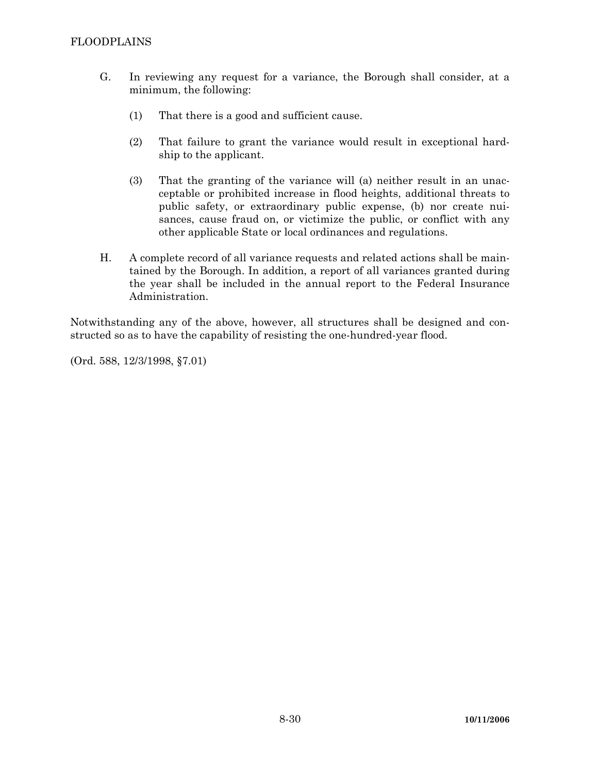- G. In reviewing any request for a variance, the Borough shall consider, at a minimum, the following:
	- (1) That there is a good and sufficient cause.
	- (2) That failure to grant the variance would result in exceptional hardship to the applicant.
	- (3) That the granting of the variance will (a) neither result in an unacceptable or prohibited increase in flood heights, additional threats to public safety, or extraordinary public expense, (b) nor create nuisances, cause fraud on, or victimize the public, or conflict with any other applicable State or local ordinances and regulations.
- H. A complete record of all variance requests and related actions shall be maintained by the Borough. In addition, a report of all variances granted during the year shall be included in the annual report to the Federal Insurance Administration.

Notwithstanding any of the above, however, all structures shall be designed and constructed so as to have the capability of resisting the one-hundred-year flood.

(Ord. 588, 12/3/1998, §7.01)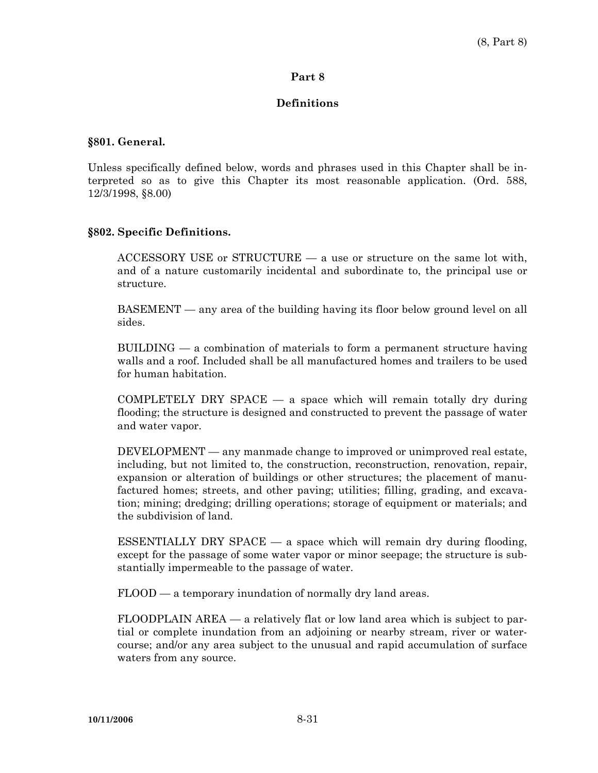### **Definitions**

#### **§801. General.**

Unless specifically defined below, words and phrases used in this Chapter shall be interpreted so as to give this Chapter its most reasonable application. (Ord. 588, 12/3/1998, §8.00)

### **§802. Specific Definitions.**

 ACCESSORY USE or STRUCTURE — a use or structure on the same lot with, and of a nature customarily incidental and subordinate to, the principal use or structure.

 BASEMENT — any area of the building having its floor below ground level on all sides.

 BUILDING — a combination of materials to form a permanent structure having walls and a roof. Included shall be all manufactured homes and trailers to be used for human habitation.

COMPLETELY DRY SPACE  $-$  a space which will remain totally dry during flooding; the structure is designed and constructed to prevent the passage of water and water vapor.

 DEVELOPMENT — any manmade change to improved or unimproved real estate, including, but not limited to, the construction, reconstruction, renovation, repair, expansion or alteration of buildings or other structures; the placement of manufactured homes; streets, and other paving; utilities; filling, grading, and excavation; mining; dredging; drilling operations; storage of equipment or materials; and the subdivision of land.

ESSENTIALLY DRY SPACE  $-$  a space which will remain dry during flooding, except for the passage of some water vapor or minor seepage; the structure is substantially impermeable to the passage of water.

FLOOD — a temporary inundation of normally dry land areas.

 FLOODPLAIN AREA — a relatively flat or low land area which is subject to partial or complete inundation from an adjoining or nearby stream, river or watercourse; and/or any area subject to the unusual and rapid accumulation of surface waters from any source.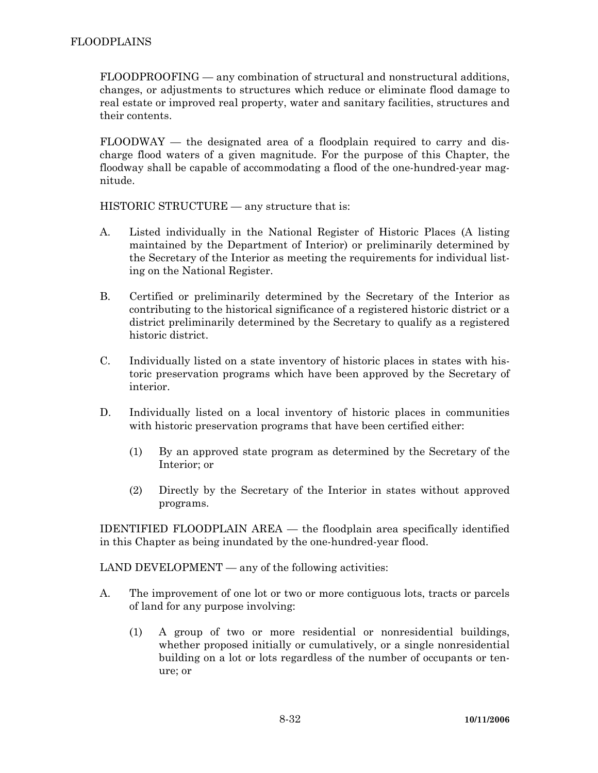FLOODPROOFING — any combination of structural and nonstructural additions, changes, or adjustments to structures which reduce or eliminate flood damage to real estate or improved real property, water and sanitary facilities, structures and their contents.

 FLOODWAY — the designated area of a floodplain required to carry and discharge flood waters of a given magnitude. For the purpose of this Chapter, the floodway shall be capable of accommodating a flood of the one-hundred-year magnitude.

HISTORIC STRUCTURE — any structure that is:

- A. Listed individually in the National Register of Historic Places (A listing maintained by the Department of Interior) or preliminarily determined by the Secretary of the Interior as meeting the requirements for individual listing on the National Register.
- B. Certified or preliminarily determined by the Secretary of the Interior as contributing to the historical significance of a registered historic district or a district preliminarily determined by the Secretary to qualify as a registered historic district.
- C. Individually listed on a state inventory of historic places in states with historic preservation programs which have been approved by the Secretary of interior.
- D. Individually listed on a local inventory of historic places in communities with historic preservation programs that have been certified either:
	- (1) By an approved state program as determined by the Secretary of the Interior; or
	- (2) Directly by the Secretary of the Interior in states without approved programs.

 IDENTIFIED FLOODPLAIN AREA — the floodplain area specifically identified in this Chapter as being inundated by the one-hundred-year flood.

 $LAND$  DEVELOPMENT  $-$  any of the following activities:

- A. The improvement of one lot or two or more contiguous lots, tracts or parcels of land for any purpose involving:
	- (1) A group of two or more residential or nonresidential buildings, whether proposed initially or cumulatively, or a single nonresidential building on a lot or lots regardless of the number of occupants or tenure; or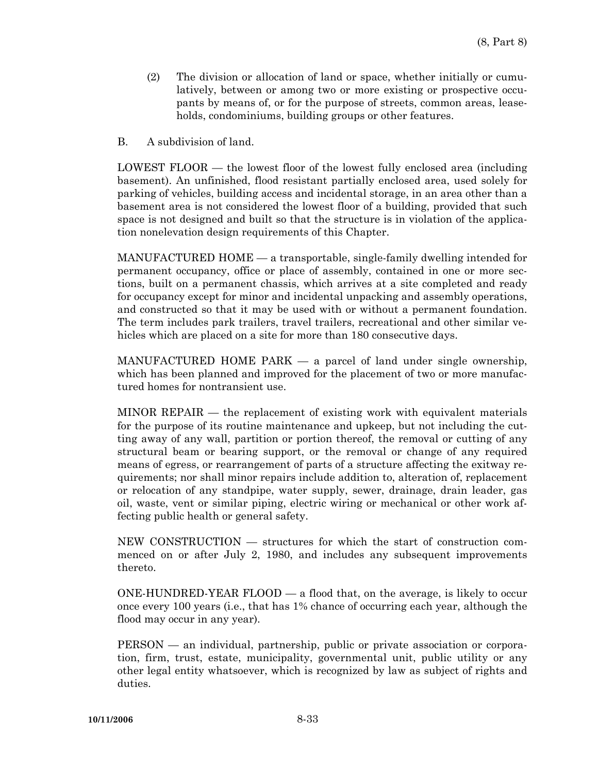- (2) The division or allocation of land or space, whether initially or cumulatively, between or among two or more existing or prospective occupants by means of, or for the purpose of streets, common areas, leaseholds, condominiums, building groups or other features.
- B. A subdivision of land.

 LOWEST FLOOR — the lowest floor of the lowest fully enclosed area (including basement). An unfinished, flood resistant partially enclosed area, used solely for parking of vehicles, building access and incidental storage, in an area other than a basement area is not considered the lowest floor of a building, provided that such space is not designed and built so that the structure is in violation of the application nonelevation design requirements of this Chapter.

 MANUFACTURED HOME — a transportable, single-family dwelling intended for permanent occupancy, office or place of assembly, contained in one or more sections, built on a permanent chassis, which arrives at a site completed and ready for occupancy except for minor and incidental unpacking and assembly operations, and constructed so that it may be used with or without a permanent foundation. The term includes park trailers, travel trailers, recreational and other similar vehicles which are placed on a site for more than 180 consecutive days.

MANUFACTURED HOME PARK  $-$  a parcel of land under single ownership, which has been planned and improved for the placement of two or more manufactured homes for nontransient use.

 MINOR REPAIR — the replacement of existing work with equivalent materials for the purpose of its routine maintenance and upkeep, but not including the cutting away of any wall, partition or portion thereof, the removal or cutting of any structural beam or bearing support, or the removal or change of any required means of egress, or rearrangement of parts of a structure affecting the exitway requirements; nor shall minor repairs include addition to, alteration of, replacement or relocation of any standpipe, water supply, sewer, drainage, drain leader, gas oil, waste, vent or similar piping, electric wiring or mechanical or other work affecting public health or general safety.

 NEW CONSTRUCTION — structures for which the start of construction commenced on or after July 2, 1980, and includes any subsequent improvements thereto.

 ONE-HUNDRED-YEAR FLOOD — a flood that, on the average, is likely to occur once every 100 years (i.e., that has 1% chance of occurring each year, although the flood may occur in any year).

 PERSON — an individual, partnership, public or private association or corporation, firm, trust, estate, municipality, governmental unit, public utility or any other legal entity whatsoever, which is recognized by law as subject of rights and duties.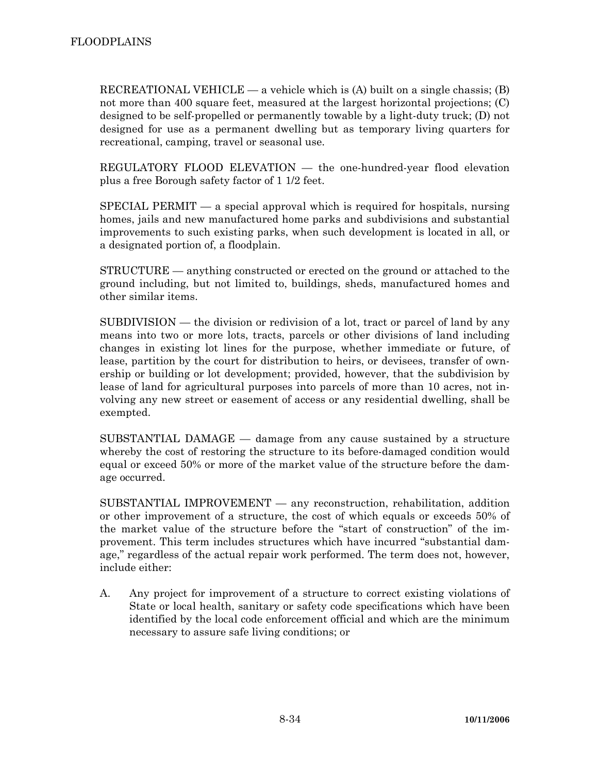RECREATIONAL VEHICLE — a vehicle which is  $(A)$  built on a single chassis;  $(B)$ not more than 400 square feet, measured at the largest horizontal projections; (C) designed to be self-propelled or permanently towable by a light-duty truck; (D) not designed for use as a permanent dwelling but as temporary living quarters for recreational, camping, travel or seasonal use.

 REGULATORY FLOOD ELEVATION — the one-hundred-year flood elevation plus a free Borough safety factor of 1 1/2 feet.

 SPECIAL PERMIT — a special approval which is required for hospitals, nursing homes, jails and new manufactured home parks and subdivisions and substantial improvements to such existing parks, when such development is located in all, or a designated portion of, a floodplain.

 STRUCTURE — anything constructed or erected on the ground or attached to the ground including, but not limited to, buildings, sheds, manufactured homes and other similar items.

 SUBDIVISION — the division or redivision of a lot, tract or parcel of land by any means into two or more lots, tracts, parcels or other divisions of land including changes in existing lot lines for the purpose, whether immediate or future, of lease, partition by the court for distribution to heirs, or devisees, transfer of ownership or building or lot development; provided, however, that the subdivision by lease of land for agricultural purposes into parcels of more than 10 acres, not involving any new street or easement of access or any residential dwelling, shall be exempted.

 SUBSTANTIAL DAMAGE — damage from any cause sustained by a structure whereby the cost of restoring the structure to its before-damaged condition would equal or exceed 50% or more of the market value of the structure before the damage occurred.

 SUBSTANTIAL IMPROVEMENT — any reconstruction, rehabilitation, addition or other improvement of a structure, the cost of which equals or exceeds 50% of the market value of the structure before the "start of construction" of the improvement. This term includes structures which have incurred "substantial damage," regardless of the actual repair work performed. The term does not, however, include either:

 A. Any project for improvement of a structure to correct existing violations of State or local health, sanitary or safety code specifications which have been identified by the local code enforcement official and which are the minimum necessary to assure safe living conditions; or